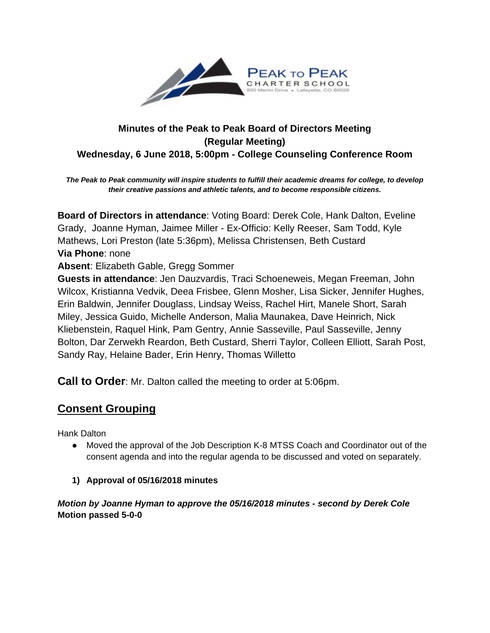

#### **Minutes of the Peak to Peak Board of Directors Meeting (Regular Meeting) Wednesday, 6 June 2018, 5:00pm - College Counseling Conference Room**

*The Peak to Peak community will inspire students to fulfill their academic dreams for college, to develop their creative passions and athletic talents, and to become responsible citizens.*

**Board of Directors in attendance**: Voting Board: Derek Cole, Hank Dalton, Eveline Grady, Joanne Hyman, Jaimee Miller - Ex-Officio: Kelly Reeser, Sam Todd, Kyle Mathews, Lori Preston (late 5:36pm), Melissa Christensen, Beth Custard **Via Phone**: none

**Absent**: Elizabeth Gable, Gregg Sommer

**Guests in attendance**: Jen Dauzvardis, Traci Schoeneweis, Megan Freeman, John Wilcox, Kristianna Vedvik, Deea Frisbee, Glenn Mosher, Lisa Sicker, Jennifer Hughes, Erin Baldwin, Jennifer Douglass, Lindsay Weiss, Rachel Hirt, Manele Short, Sarah Miley, Jessica Guido, Michelle Anderson, Malia Maunakea, Dave Heinrich, Nick Kliebenstein, Raquel Hink, Pam Gentry, Annie Sasseville, Paul Sasseville, Jenny Bolton, Dar Zerwekh Reardon, Beth Custard, Sherri Taylor, Colleen Elliott, Sarah Post, Sandy Ray, Helaine Bader, Erin Henry, Thomas Willetto

**Call to Order**: Mr. Dalton called the meeting to order at 5:06pm.

## **Consent Grouping**

Hank Dalton

- Moved the approval of the Job Description K-8 MTSS Coach and Coordinator out of the consent agenda and into the regular agenda to be discussed and voted on separately.
- **1) Approval of 05/16/2018 minutes**

*Motion by Joanne Hyman to approve the 05/16/2018 minutes - second by Derek Cole* **Motion passed 5-0-0**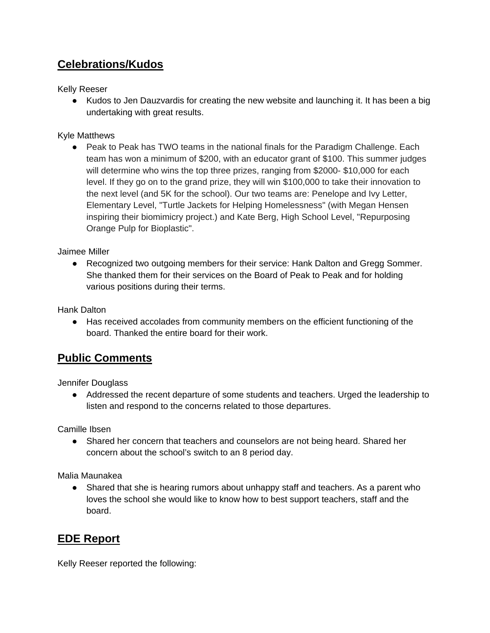# **Celebrations/Kudos**

Kelly Reeser

● Kudos to Jen Dauzvardis for creating the new website and launching it. It has been a big undertaking with great results.

#### Kyle Matthews

● Peak to Peak has TWO teams in the national finals for the Paradigm Challenge. Each team has won a minimum of \$200, with an educator grant of \$100. This summer judges will determine who wins the top three prizes, ranging from \$2000- \$10,000 for each level. If they go on to the grand prize, they will win \$100,000 to take their innovation to the next level (and 5K for the school). Our two teams are: Penelope and Ivy Letter, Elementary Level, "Turtle Jackets for Helping Homelessness" (with Megan Hensen inspiring their biomimicry project.) and Kate Berg, High School Level, "Repurposing Orange Pulp for Bioplastic".

Jaimee Miller

● Recognized two outgoing members for their service: Hank Dalton and Gregg Sommer. She thanked them for their services on the Board of Peak to Peak and for holding various positions during their terms.

Hank Dalton

● Has received accolades from community members on the efficient functioning of the board. Thanked the entire board for their work.

# **Public Comments**

Jennifer Douglass

• Addressed the recent departure of some students and teachers. Urged the leadership to listen and respond to the concerns related to those departures.

Camille Ibsen

● Shared her concern that teachers and counselors are not being heard. Shared her concern about the school's switch to an 8 period day.

Malia Maunakea

• Shared that she is hearing rumors about unhappy staff and teachers. As a parent who loves the school she would like to know how to best support teachers, staff and the board.

### **EDE Report**

Kelly Reeser reported the following: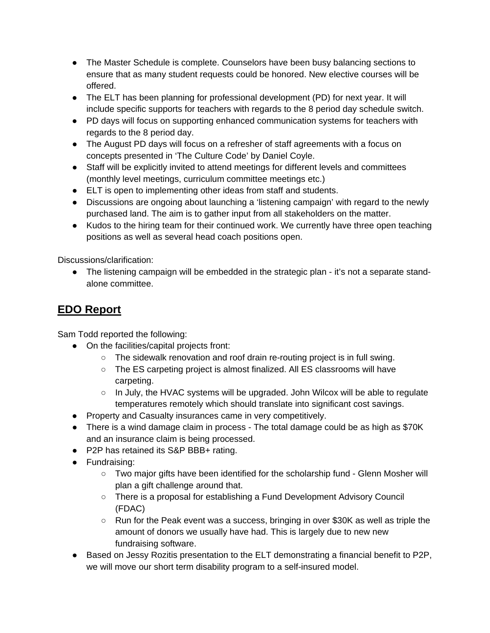- The Master Schedule is complete. Counselors have been busy balancing sections to ensure that as many student requests could be honored. New elective courses will be offered.
- The ELT has been planning for professional development (PD) for next year. It will include specific supports for teachers with regards to the 8 period day schedule switch.
- PD days will focus on supporting enhanced communication systems for teachers with regards to the 8 period day.
- The August PD days will focus on a refresher of staff agreements with a focus on concepts presented in 'The Culture Code' by Daniel Coyle.
- Staff will be explicitly invited to attend meetings for different levels and committees (monthly level meetings, curriculum committee meetings etc.)
- ELT is open to implementing other ideas from staff and students.
- Discussions are ongoing about launching a 'listening campaign' with regard to the newly purchased land. The aim is to gather input from all stakeholders on the matter.
- Kudos to the hiring team for their continued work. We currently have three open teaching positions as well as several head coach positions open.

Discussions/clarification:

● The listening campaign will be embedded in the strategic plan - it's not a separate standalone committee.

# **EDO Report**

Sam Todd reported the following:

- On the facilities/capital projects front:
	- The sidewalk renovation and roof drain re-routing project is in full swing.
	- The ES carpeting project is almost finalized. All ES classrooms will have carpeting.
	- In July, the HVAC systems will be upgraded. John Wilcox will be able to regulate temperatures remotely which should translate into significant cost savings.
- Property and Casualty insurances came in very competitively.
- There is a wind damage claim in process The total damage could be as high as \$70K and an insurance claim is being processed.
- P2P has retained its S&P BBB+ rating.
- Fundraising:
	- Two major gifts have been identified for the scholarship fund Glenn Mosher will plan a gift challenge around that.
	- There is a proposal for establishing a Fund Development Advisory Council (FDAC)
	- $\circ$  Run for the Peak event was a success, bringing in over \$30K as well as triple the amount of donors we usually have had. This is largely due to new new fundraising software.
- Based on Jessy Rozitis presentation to the ELT demonstrating a financial benefit to P2P, we will move our short term disability program to a self-insured model.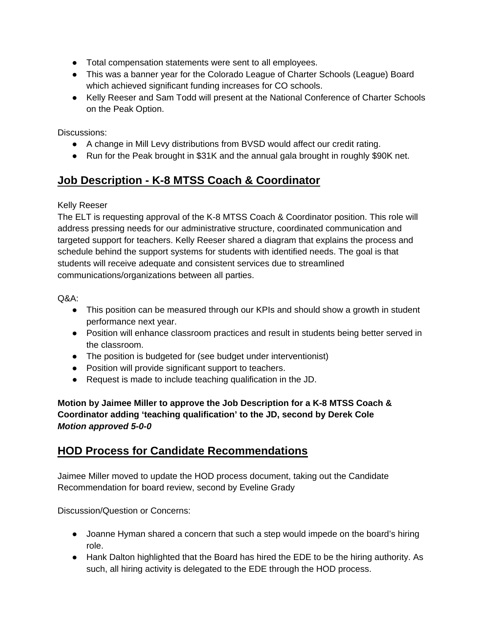- Total compensation statements were sent to all employees.
- This was a banner year for the Colorado League of Charter Schools (League) Board which achieved significant funding increases for CO schools.
- Kelly Reeser and Sam Todd will present at the National Conference of Charter Schools on the Peak Option.

Discussions:

- A change in Mill Levy distributions from BVSD would affect our credit rating.
- Run for the Peak brought in \$31K and the annual gala brought in roughly \$90K net.

## **Job Description - K-8 MTSS Coach & Coordinator**

Kelly Reeser

The ELT is requesting approval of the K-8 MTSS Coach & Coordinator position. This role will address pressing needs for our administrative structure, coordinated communication and targeted support for teachers. Kelly Reeser shared a diagram that explains the process and schedule behind the support systems for students with identified needs. The goal is that students will receive adequate and consistent services due to streamlined communications/organizations between all parties.

Q&A:

- This position can be measured through our KPIs and should show a growth in student performance next year.
- Position will enhance classroom practices and result in students being better served in the classroom.
- The position is budgeted for (see budget under interventionist)
- Position will provide significant support to teachers.
- Request is made to include teaching qualification in the JD.

**Motion by Jaimee Miller to approve the Job Description for a K-8 MTSS Coach & Coordinator adding 'teaching qualification' to the JD, second by Derek Cole** *Motion approved 5-0-0*

### **HOD Process for Candidate Recommendations**

Jaimee Miller moved to update the HOD process document, taking out the Candidate Recommendation for board review, second by Eveline Grady

Discussion/Question or Concerns:

- Joanne Hyman shared a concern that such a step would impede on the board's hiring role.
- Hank Dalton highlighted that the Board has hired the EDE to be the hiring authority. As such, all hiring activity is delegated to the EDE through the HOD process.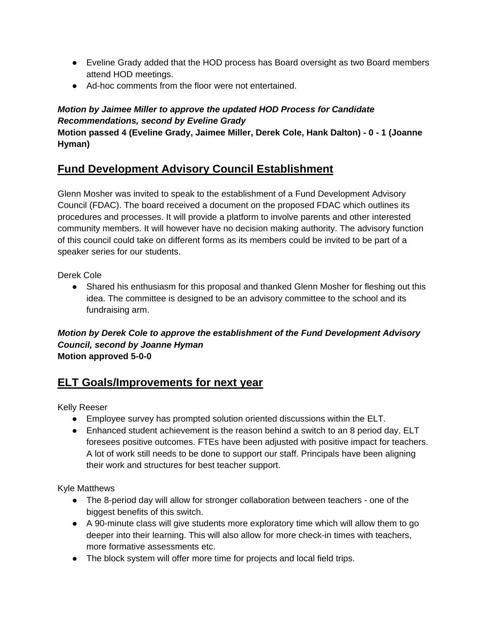- Eveline Grady added that the HOD process has Board oversight as two Board members attend HOD meetings.
- Ad-hoc comments from the floor were not entertained.

#### *Motion by Jaimee Miller to approve the updated HOD Process for Candidate Recommendations, second by Eveline Grady*

**Motion passed 4 (Eveline Grady, Jaimee Miller, Derek Cole, Hank Dalton) - 0 - 1 (Joanne Hyman)** 

## **Fund Development Advisory Council Establishment**

Glenn Mosher was invited to speak to the establishment of a Fund Development Advisory Council (FDAC). The board received a document on the proposed FDAC which outlines its procedures and processes. It will provide a platform to involve parents and other interested community members. It will however have no decision making authority. The advisory function of this council could take on different forms as its members could be invited to be part of a speaker series for our students.

Derek Cole

• Shared his enthusiasm for this proposal and thanked Glenn Mosher for fleshing out this idea. The committee is designed to be an advisory committee to the school and its fundraising arm.

#### *Motion by Derek Cole to approve the establishment of the Fund Development Advisory Council, second by Joanne Hyman* **Motion approved 5-0-0**

### **ELT Goals/Improvements for next year**

Kelly Reeser

- Employee survey has prompted solution oriented discussions within the ELT.
- Enhanced student achievement is the reason behind a switch to an 8 period day. ELT foresees positive outcomes. FTEs have been adjusted with positive impact for teachers. A lot of work still needs to be done to support our staff. Principals have been aligning their work and structures for best teacher support.

Kyle Matthews

- The 8-period day will allow for stronger collaboration between teachers one of the biggest benefits of this switch.
- A 90-minute class will give students more exploratory time which will allow them to go deeper into their learning. This will also allow for more check-in times with teachers, more formative assessments etc.
- The block system will offer more time for projects and local field trips.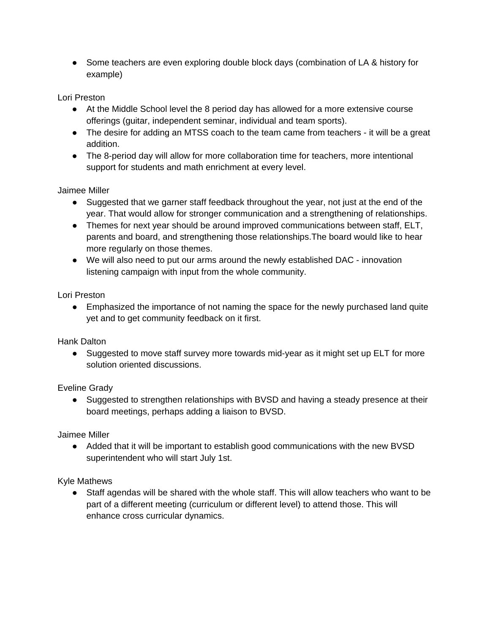● Some teachers are even exploring double block days (combination of LA & history for example)

Lori Preston

- At the Middle School level the 8 period day has allowed for a more extensive course offerings (guitar, independent seminar, individual and team sports).
- The desire for adding an MTSS coach to the team came from teachers it will be a great addition.
- The 8-period day will allow for more collaboration time for teachers, more intentional support for students and math enrichment at every level.

Jaimee Miller

- Suggested that we garner staff feedback throughout the year, not just at the end of the year. That would allow for stronger communication and a strengthening of relationships.
- Themes for next year should be around improved communications between staff, ELT, parents and board, and strengthening those relationships.The board would like to hear more regularly on those themes.
- We will also need to put our arms around the newly established DAC innovation listening campaign with input from the whole community.

Lori Preston

● Emphasized the importance of not naming the space for the newly purchased land quite yet and to get community feedback on it first.

Hank Dalton

● Suggested to move staff survey more towards mid-year as it might set up ELT for more solution oriented discussions.

Eveline Grady

● Suggested to strengthen relationships with BVSD and having a steady presence at their board meetings, perhaps adding a liaison to BVSD.

Jaimee Miller

● Added that it will be important to establish good communications with the new BVSD superintendent who will start July 1st.

Kyle Mathews

● Staff agendas will be shared with the whole staff. This will allow teachers who want to be part of a different meeting (curriculum or different level) to attend those. This will enhance cross curricular dynamics.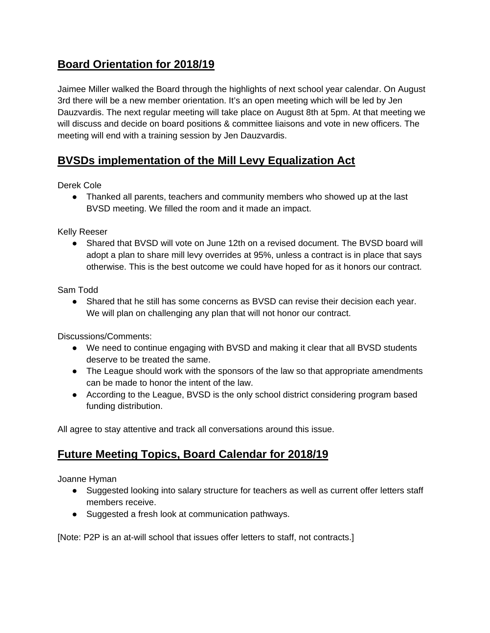## **Board Orientation for 2018/19**

Jaimee Miller walked the Board through the highlights of next school year calendar. On August 3rd there will be a new member orientation. It's an open meeting which will be led by Jen Dauzvardis. The next regular meeting will take place on August 8th at 5pm. At that meeting we will discuss and decide on board positions & committee liaisons and vote in new officers. The meeting will end with a training session by Jen Dauzvardis.

### **BVSDs implementation of the Mill Levy Equalization Act**

Derek Cole

● Thanked all parents, teachers and community members who showed up at the last BVSD meeting. We filled the room and it made an impact.

Kelly Reeser

● Shared that BVSD will vote on June 12th on a revised document. The BVSD board will adopt a plan to share mill levy overrides at 95%, unless a contract is in place that says otherwise. This is the best outcome we could have hoped for as it honors our contract.

Sam Todd

● Shared that he still has some concerns as BVSD can revise their decision each year. We will plan on challenging any plan that will not honor our contract.

Discussions/Comments:

- We need to continue engaging with BVSD and making it clear that all BVSD students deserve to be treated the same.
- The League should work with the sponsors of the law so that appropriate amendments can be made to honor the intent of the law.
- According to the League, BVSD is the only school district considering program based funding distribution.

All agree to stay attentive and track all conversations around this issue.

### **Future Meeting Topics, Board Calendar for 2018/19**

Joanne Hyman

- Suggested looking into salary structure for teachers as well as current offer letters staff members receive.
- Suggested a fresh look at communication pathways.

[Note: P2P is an at-will school that issues offer letters to staff, not contracts.]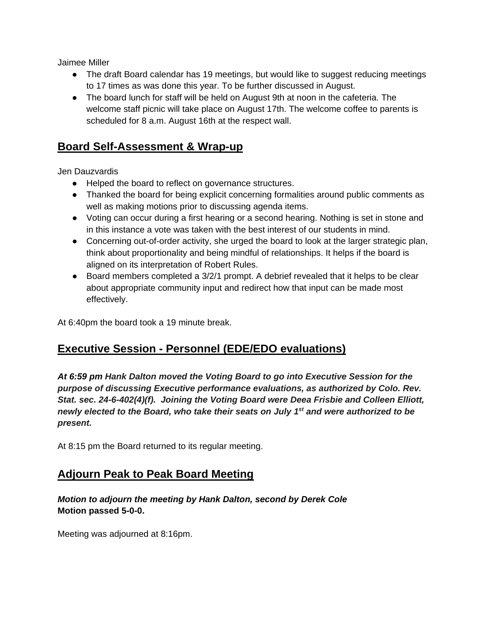Jaimee Miller

- The draft Board calendar has 19 meetings, but would like to suggest reducing meetings to 17 times as was done this year. To be further discussed in August.
- The board lunch for staff will be held on August 9th at noon in the cafeteria. The welcome staff picnic will take place on August 17th. The welcome coffee to parents is scheduled for 8 a.m. August 16th at the respect wall.

### **Board Self-Assessment & Wrap-up**

Jen Dauzvardis

- Helped the board to reflect on governance structures.
- Thanked the board for being explicit concerning formalities around public comments as well as making motions prior to discussing agenda items.
- Voting can occur during a first hearing or a second hearing. Nothing is set in stone and in this instance a vote was taken with the best interest of our students in mind.
- Concerning out-of-order activity, she urged the board to look at the larger strategic plan, think about proportionality and being mindful of relationships. It helps if the board is aligned on its interpretation of Robert Rules.
- Board members completed a 3/2/1 prompt. A debrief revealed that it helps to be clear about appropriate community input and redirect how that input can be made most effectively.

At 6:40pm the board took a 19 minute break.

## **Executive Session - Personnel (EDE/EDO evaluations)**

*At 6:59 pm Hank Dalton moved the Voting Board to go into Executive Session for the purpose of discussing Executive performance evaluations, as authorized by Colo. Rev. Stat. sec. 24-6-402(4)(f). Joining the Voting Board were Deea Frisbie and Colleen Elliott, newly elected to the Board, who take their seats on July 1st and were authorized to be present.* 

At 8:15 pm the Board returned to its regular meeting.

#### **Adjourn Peak to Peak Board Meeting**

*Motion to adjourn the meeting by Hank Dalton, second by Derek Cole* **Motion passed 5-0-0.**

Meeting was adjourned at 8:16pm.